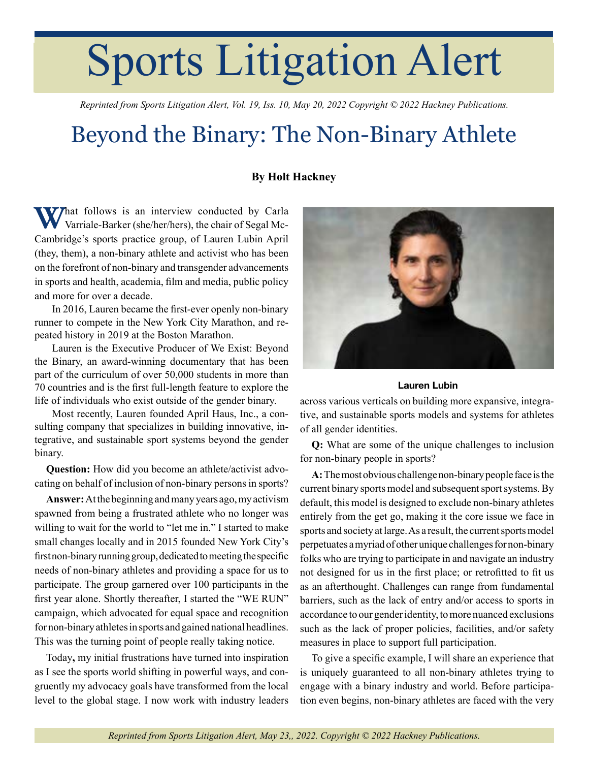## Sports Litigation Alert

*Reprinted from Sports Litigation Alert, Vol. 19, Iss. 10, May 20, 2022 Copyright © 2022 Hackney Publications.*

## Beyond the Binary: The Non-Binary Athlete

## **By Holt Hackney**

**What follows is an interview conducted by Carla** Varriale-Barker (she/her/hers), the chair of Segal Mc-Cambridge's sports practice group, of Lauren Lubin April (they, them), a non-binary athlete and activist who has been on the forefront of non-binary and transgender advancements in sports and health, academia, film and media, public policy and more for over a decade.

In 2016, Lauren became the first-ever openly non-binary runner to compete in the New York City Marathon, and repeated history in 2019 at the Boston Marathon.

Lauren is the Executive Producer of We Exist: Beyond the Binary, an award-winning documentary that has been part of the curriculum of over 50,000 students in more than 70 countries and is the first full-length feature to explore the life of individuals who exist outside of the gender binary.

Most recently, Lauren founded April Haus, Inc., a consulting company that specializes in building innovative, integrative, and sustainable sport systems beyond the gender binary.

**Question:** How did you become an athlete/activist advocating on behalf of inclusion of non-binary persons in sports?

**Answer:** At the beginning and many years ago, my activism spawned from being a frustrated athlete who no longer was willing to wait for the world to "let me in." I started to make small changes locally and in 2015 founded New York City's first non-binary running group, dedicated to meeting the specific needs of non-binary athletes and providing a space for us to participate. The group garnered over 100 participants in the first year alone. Shortly thereafter, I started the "WE RUN" campaign, which advocated for equal space and recognition for non-binary athletes in sports and gained national headlines. This was the turning point of people really taking notice.

Today**,** my initial frustrations have turned into inspiration as I see the sports world shifting in powerful ways, and congruently my advocacy goals have transformed from the local level to the global stage. I now work with industry leaders



Lauren Lubin

across various verticals on building more expansive, integrative, and sustainable sports models and systems for athletes of all gender identities.

**Q:** What are some of the unique challenges to inclusion for non-binary people in sports?

**A:** The most obvious challenge non-binary people face is the current binary sports model and subsequent sport systems. By default, this model is designed to exclude non-binary athletes entirely from the get go, making it the core issue we face in sports and society at large. As a result, the current sports model perpetuates a myriad of other unique challenges for non-binary folks who are trying to participate in and navigate an industry not designed for us in the first place; or retrofitted to fit us as an afterthought. Challenges can range from fundamental barriers, such as the lack of entry and/or access to sports in accordance to our gender identity, to more nuanced exclusions such as the lack of proper policies, facilities, and/or safety measures in place to support full participation.

To give a specific example, I will share an experience that is uniquely guaranteed to all non-binary athletes trying to engage with a binary industry and world. Before participation even begins, non-binary athletes are faced with the very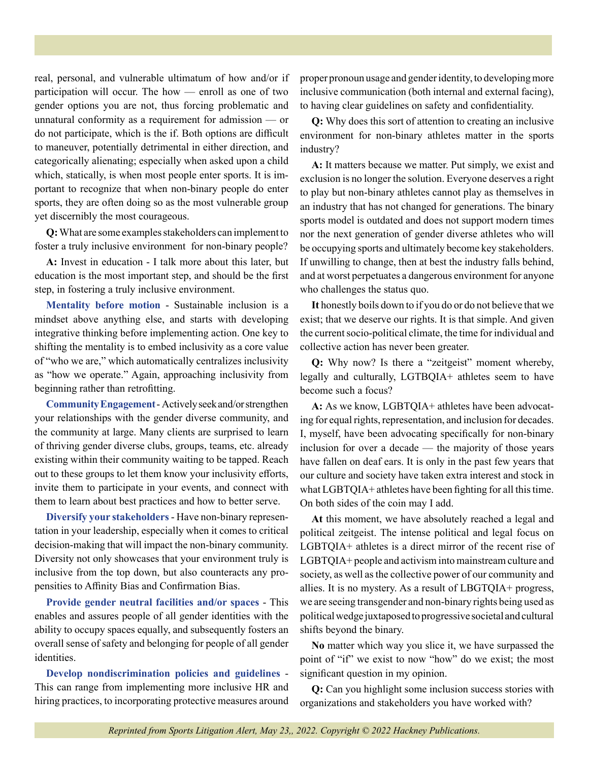real, personal, and vulnerable ultimatum of how and/or if participation will occur. The how — enroll as one of two gender options you are not, thus forcing problematic and unnatural conformity as a requirement for admission — or do not participate, which is the if. Both options are difficult to maneuver, potentially detrimental in either direction, and categorically alienating; especially when asked upon a child which, statically, is when most people enter sports. It is important to recognize that when non-binary people do enter sports, they are often doing so as the most vulnerable group yet discernibly the most courageous.

**Q:** What are some examples stakeholders can implement to foster a truly inclusive environment for non-binary people?

**A:** Invest in education - I talk more about this later, but education is the most important step, and should be the first step, in fostering a truly inclusive environment.

**Mentality before motion** - Sustainable inclusion is a mindset above anything else, and starts with developing integrative thinking before implementing action. One key to shifting the mentality is to embed inclusivity as a core value of "who we are," which automatically centralizes inclusivity as "how we operate." Again, approaching inclusivity from beginning rather than retrofitting.

**Community Engagement** - Actively seek and/or strengthen your relationships with the gender diverse community, and the community at large. Many clients are surprised to learn of thriving gender diverse clubs, groups, teams, etc. already existing within their community waiting to be tapped. Reach out to these groups to let them know your inclusivity efforts, invite them to participate in your events, and connect with them to learn about best practices and how to better serve.

**Diversify your stakeholders** - Have non-binary representation in your leadership, especially when it comes to critical decision-making that will impact the non-binary community. Diversity not only showcases that your environment truly is inclusive from the top down, but also counteracts any propensities to Affinity Bias and Confirmation Bias.

**Provide gender neutral facilities and/or spaces** - This enables and assures people of all gender identities with the ability to occupy spaces equally, and subsequently fosters an overall sense of safety and belonging for people of all gender identities.

**Develop nondiscrimination policies and guidelines** - This can range from implementing more inclusive HR and hiring practices, to incorporating protective measures around proper pronoun usage and gender identity, to developing more inclusive communication (both internal and external facing), to having clear guidelines on safety and confidentiality.

**Q:** Why does this sort of attention to creating an inclusive environment for non-binary athletes matter in the sports industry?

**A:** It matters because we matter. Put simply, we exist and exclusion is no longer the solution. Everyone deserves a right to play but non-binary athletes cannot play as themselves in an industry that has not changed for generations. The binary sports model is outdated and does not support modern times nor the next generation of gender diverse athletes who will be occupying sports and ultimately become key stakeholders. If unwilling to change, then at best the industry falls behind, and at worst perpetuates a dangerous environment for anyone who challenges the status quo.

**It** honestly boils down to if you do or do not believe that we exist; that we deserve our rights. It is that simple. And given the current socio-political climate, the time for individual and collective action has never been greater.

**Q:** Why now? Is there a "zeitgeist" moment whereby, legally and culturally, LGTBQIA+ athletes seem to have become such a focus?

**A:** As we know, LGBTQIA+ athletes have been advocating for equal rights, representation, and inclusion for decades. I, myself, have been advocating specifically for non-binary inclusion for over a decade — the majority of those years have fallen on deaf ears. It is only in the past few years that our culture and society have taken extra interest and stock in what LGBTQIA+ athletes have been fighting for all this time. On both sides of the coin may I add.

**At** this moment, we have absolutely reached a legal and political zeitgeist. The intense political and legal focus on LGBTQIA+ athletes is a direct mirror of the recent rise of LGBTQIA+ people and activism into mainstream culture and society, as well as the collective power of our community and allies. It is no mystery. As a result of LBGTQIA+ progress, we are seeing transgender and non-binary rights being used as political wedge juxtaposed to progressive societal and cultural shifts beyond the binary.

**No** matter which way you slice it, we have surpassed the point of "if" we exist to now "how" do we exist; the most significant question in my opinion.

**Q:** Can you highlight some inclusion success stories with organizations and stakeholders you have worked with?